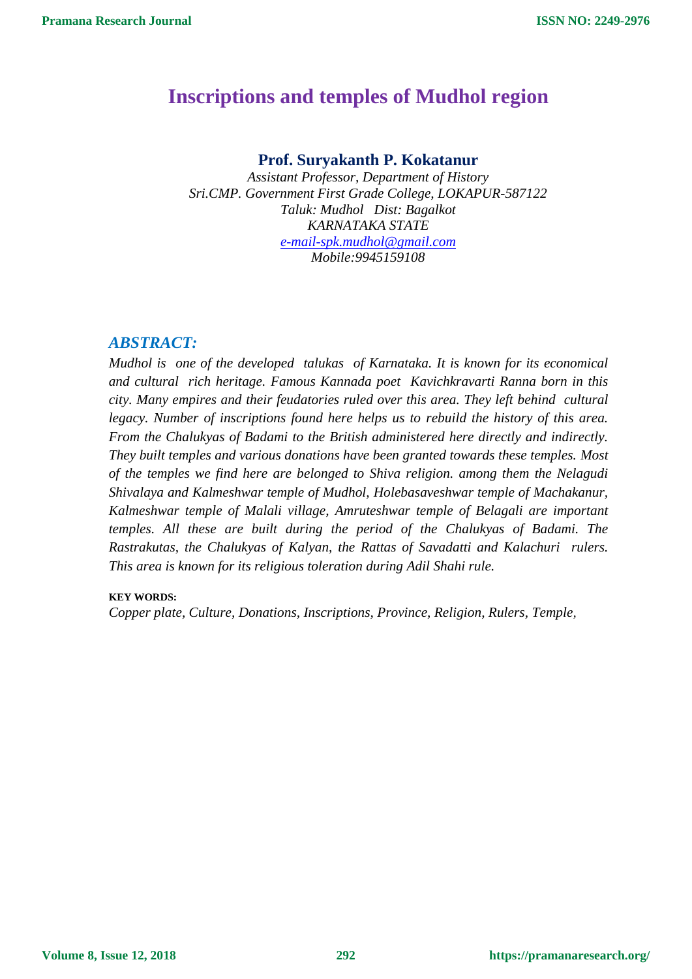# **Inscriptions and temples of Mudhol region**

# **Prof. Suryakanth P. Kokatanur**

*Assistant Professor, Department of History Sri.CMP. Government First Grade College, LOKAPUR-587122 Taluk: Mudhol Dist: Bagalkot KARNATAKA STATE [e-mail-spk.mudhol@gmail.com](mailto:e-mail-spk.mudhol@gmail.com) Mobile:9945159108*

# *ABSTRACT:*

*Mudhol is one of the developed talukas of Karnataka. It is known for its economical and cultural rich heritage. Famous Kannada poet Kavichkravarti Ranna born in this city. Many empires and their feudatories ruled over this area. They left behind cultural legacy. Number of inscriptions found here helps us to rebuild the history of this area. From the Chalukyas of Badami to the British administered here directly and indirectly. They built temples and various donations have been granted towards these temples. Most of the temples we find here are belonged to Shiva religion. among them the Nelagudi Shivalaya and Kalmeshwar temple of Mudhol, Holebasaveshwar temple of Machakanur, Kalmeshwar temple of Malali village, Amruteshwar temple of Belagali are important temples. All these are built during the period of the Chalukyas of Badami. The Rastrakutas, the Chalukyas of Kalyan, the Rattas of Savadatti and Kalachuri rulers. This area is known for its religious toleration during Adil Shahi rule.*

## **KEY WORDS:**

*Copper plate, Culture, Donations, Inscriptions, Province, Religion, Rulers, Temple,* 

**Volume 8, Issue 12, 2018**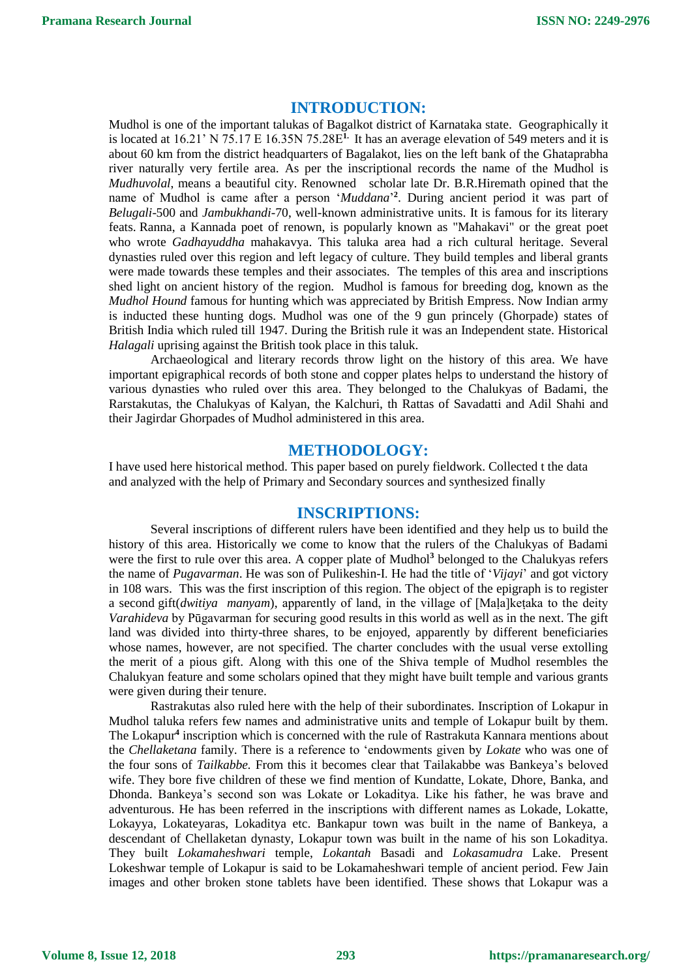## **INTRODUCTION:**

Mudhol is one of the important talukas of Bagalkot district of Karnataka state. Geographically it is located at 16.21' N 75.17 E 16.35N 75.28E**1.** It has an average elevation of 549 meters and it is about 60 km from the district headquarters of [Bagalakot,](https://en.wikipedia.org/wiki/Bagalkot) lies on the left bank of the [Ghataprabha](https://en.wikipedia.org/wiki/Ghataprabha_River)  [river](https://en.wikipedia.org/wiki/Ghataprabha_River) naturally very fertile area. As per the inscriptional records the name of the Mudhol is *Mudhuvolal*, means a beautiful city. Renowned scholar late Dr. B.R.Hiremath opined that the name of Mudhol is came after a person '*Muddana*' **2** . During ancient period it was part of *Belugali*-500 and *Jambukhandi-*70, well-known administrative units. It is famous for its literary feats. [Ranna,](https://en.wikipedia.org/wiki/Ranna) a Kannada poet of renown, is popularly known as "Mahakavi" or the great poet who wrote *Gadhayuddha* mahakavya. This taluka area had a rich cultural heritage. Several dynasties ruled over this region and left legacy of culture. They build temples and liberal grants were made towards these temples and their associates. The temples of this area and inscriptions shed light on ancient history of the region. Mudhol is famous for breeding dog, known as the *Mudhol Hound* famous for hunting which was appreciated by British Empress. Now Indian army is inducted these hunting dogs. Mudhol was one of the 9 gun princely (Ghorpade) states of British India which ruled till 1947. During the British rule it was an Independent state. Historical *Halagali* uprising against the British took place in this taluk.

Archaeological and literary records throw light on the history of this area. We have important epigraphical records of both stone and copper plates helps to understand the history of various dynasties who ruled over this area. They belonged to the Chalukyas of Badami, the Rarstakutas, the Chalukyas of Kalyan, the Kalchuri, th Rattas of Savadatti and Adil Shahi and their Jagirdar Ghorpades of Mudhol administered in this area.

#### **METHODOLOGY:**

I have used here historical method. This paper based on purely fieldwork. Collected t the data and analyzed with the help of Primary and Secondary sources and synthesized finally

#### **INSCRIPTIONS:**

Several inscriptions of different rulers have been identified and they help us to build the history of this area. Historically we come to know that the rulers of the Chalukyas of Badami were the first to rule over this area. A copper plate of Mudhol<sup>3</sup> belonged to the Chalukyas refers the name of *Pugavarman*. He was son of Pulikeshin-I. He had the title of '*Vijayi*' and got victory in 108 wars. This was the first inscription of this region. The object of the epigraph is to register a second gift(*dwitiya manyam*), apparently of land, in the village of [Maḷa]keṭaka to the deity *Varahideva* by Pūgavarman for securing good results in this world as well as in the next. The gift land was divided into thirty-three shares, to be enjoyed, apparently by different beneficiaries whose names, however, are not specified. The charter concludes with the usual verse extolling the merit of a pious gift. Along with this one of the Shiva temple of Mudhol resembles the Chalukyan feature and some scholars opined that they might have built temple and various grants were given during their tenure.

Rastrakutas also ruled here with the help of their subordinates. Inscription of Lokapur in Mudhol taluka refers few names and administrative units and temple of Lokapur built by them. The Lokapur**<sup>4</sup>** inscription which is concerned with the rule of Rastrakuta Kannara mentions about the *Chellaketana* family. There is a reference to 'endowments given by *Lokate* who was one of the four sons of *Tailkabbe.* From this it becomes clear that Tailakabbe was Bankeya's beloved wife. They bore five children of these we find mention of Kundatte, Lokate, Dhore, Banka, and Dhonda. Bankeya's second son was Lokate or Lokaditya. Like his father, he was brave and adventurous. He has been referred in the inscriptions with different names as Lokade, Lokatte, Lokayya, Lokateyaras, Lokaditya etc. Bankapur town was built in the name of Bankeya, a descendant of Chellaketan dynasty, Lokapur town was built in the name of his son Lokaditya. They built *Lokamaheshwari* temple, *Lokantah* Basadi and *Lokasamudra* Lake. Present Lokeshwar temple of Lokapur is said to be Lokamaheshwari temple of ancient period. Few Jain images and other broken stone tablets have been identified. These shows that Lokapur was a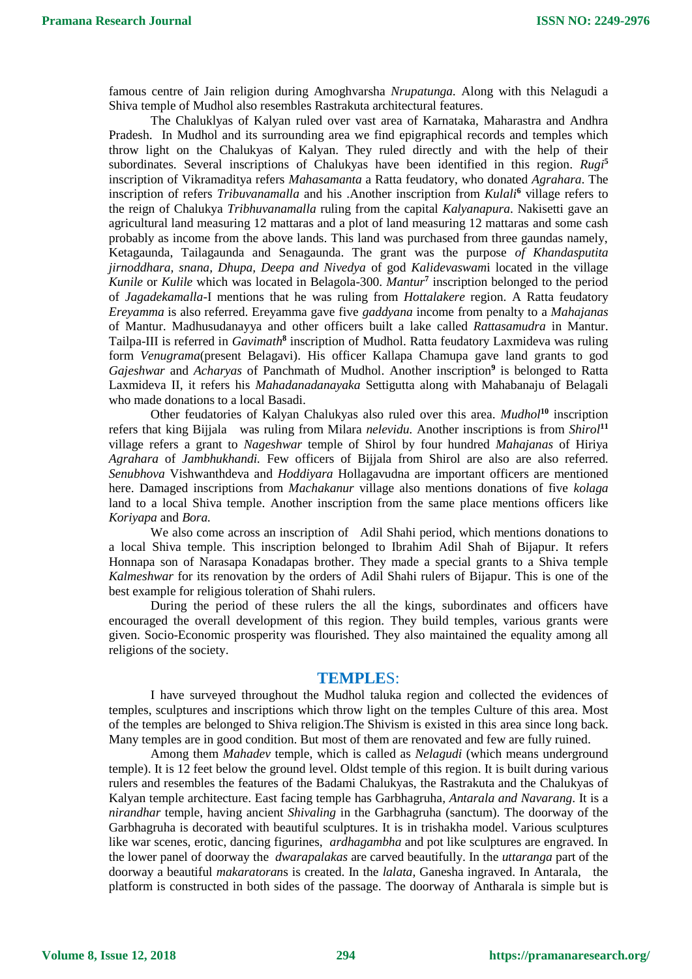famous centre of Jain religion during Amoghvarsha *Nrupatunga.* Along with this Nelagudi a Shiva temple of Mudhol also resembles Rastrakuta architectural features.

The Chaluklyas of Kalyan ruled over vast area of Karnataka, Maharastra and Andhra Pradesh. In Mudhol and its surrounding area we find epigraphical records and temples which throw light on the Chalukyas of Kalyan. They ruled directly and with the help of their subordinates. Several inscriptions of Chalukyas have been identified in this region. *Rugi***<sup>5</sup>** inscription of Vikramaditya refers *Mahasamanta* a Ratta feudatory, who donated *Agrahara*. The inscription of refers *Tribuvanamalla* and his .Another inscription from *Kulali***<sup>6</sup>** village refers to the reign of Chalukya *Tribhuvanamalla* ruling from the capital *Kalyanapura*. Nakisetti gave an agricultural land measuring 12 mattaras and a plot of land measuring 12 mattaras and some cash probably as income from the above lands. This land was purchased from three gaundas namely, Ketagaunda, Tailagaunda and Senagaunda. The grant was the purpose *of Khandasputita jirnoddhara, snana, Dhupa, Deepa and Nivedya* of god *Kalidevaswam*i located in the village *Kunile* or *Kulile* which was located in Belagola-300. *Mantur***<sup>7</sup>** inscription belonged to the period of *Jagadekamalla*-I mentions that he was ruling from *Hottalakere* region. A Ratta feudatory *Ereyamma* is also referred. Ereyamma gave five *gaddyana* income from penalty to a *Mahajanas* of Mantur. Madhusudanayya and other officers built a lake called *Rattasamudra* in Mantur. Tailpa-III is referred in *Gavimath***<sup>8</sup>** inscription of Mudhol. Ratta feudatory Laxmideva was ruling form *Venugrama*(present Belagavi). His officer Kallapa Chamupa gave land grants to god *Gajeshwar* and *Acharyas* of Panchmath of Mudhol. Another inscription**<sup>9</sup>** is belonged to Ratta Laxmideva II, it refers his *Mahadanadanayaka* Settigutta along with Mahabanaju of Belagali who made donations to a local Basadi.

Other feudatories of Kalyan Chalukyas also ruled over this area. *Mudhol***<sup>10</sup>** inscription refers that king Bijjala was ruling from Milara *nelevidu.* Another inscriptions is from *Shirol***<sup>11</sup>** village refers a grant to *Nageshwar* temple of Shirol by four hundred *Mahajanas* of Hiriya *Agrahara* of *Jambhukhandi.* Few officers of Bijjala from Shirol are also are also referred. *Senubhova* Vishwanthdeva and *Hoddiyara* Hollagavudna are important officers are mentioned here. Damaged inscriptions from *Machakanur* village also mentions donations of five *kolaga* land to a local Shiva temple. Another inscription from the same place mentions officers like *Koriyapa* and *Bora.*

We also come across an inscription of Adil Shahi period, which mentions donations to a local Shiva temple. This inscription belonged to Ibrahim Adil Shah of Bijapur. It refers Honnapa son of Narasapa Konadapas brother. They made a special grants to a Shiva temple *Kalmeshwar* for its renovation by the orders of Adil Shahi rulers of Bijapur. This is one of the best example for religious toleration of Shahi rulers.

During the period of these rulers the all the kings, subordinates and officers have encouraged the overall development of this region. They build temples, various grants were given. Socio-Economic prosperity was flourished. They also maintained the equality among all religions of the society.

#### **TEMPLE**S:

I have surveyed throughout the Mudhol taluka region and collected the evidences of temples, sculptures and inscriptions which throw light on the temples Culture of this area. Most of the temples are belonged to Shiva religion.The Shivism is existed in this area since long back. Many temples are in good condition. But most of them are renovated and few are fully ruined.

Among them *Mahadev* temple, which is called as *Nelagudi* (which means underground temple). It is 12 feet below the ground level. Oldst temple of this region. It is built during various rulers and resembles the features of the Badami Chalukyas, the Rastrakuta and the Chalukyas of Kalyan temple architecture. East facing temple has Garbhagruha*, Antarala and Navarang*. It is a *nirandhar* temple, having ancient *Shivaling* in the Garbhagruha (sanctum). The doorway of the Garbhagruha is decorated with beautiful sculptures. It is in trishakha model. Various sculptures like war scenes, erotic, dancing figurines, *ardhagambha* and pot like sculptures are engraved. In the lower panel of doorway the *dwarapalakas* are carved beautifully. In the *uttaranga* part of the doorway a beautiful *makaratoran*s is created. In the *lalata,* Ganesha ingraved. In Antarala, the platform is constructed in both sides of the passage. The doorway of Antharala is simple but is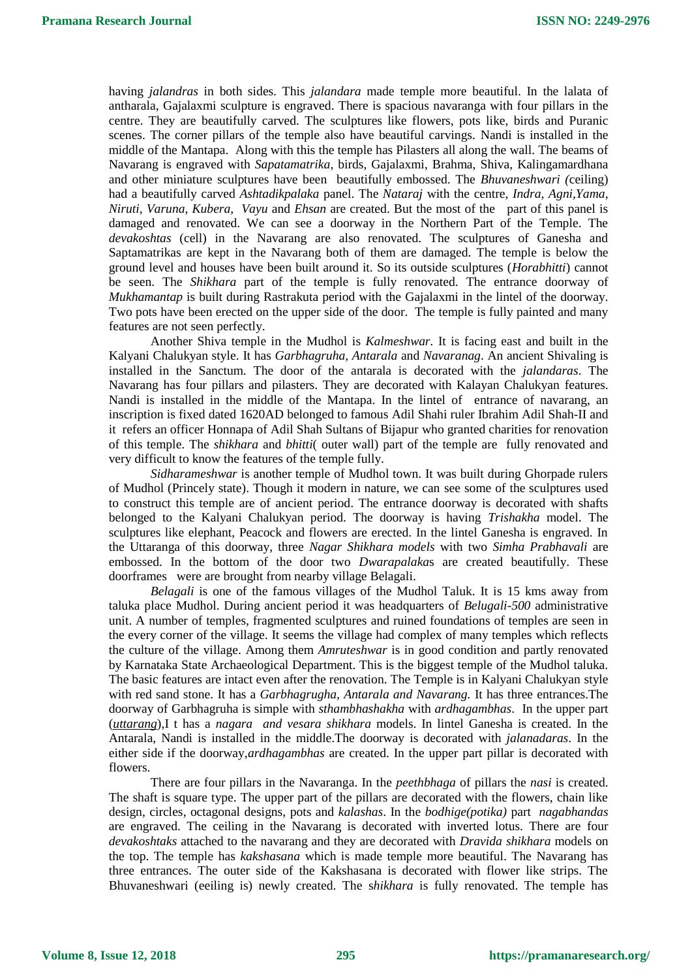having *jalandras* in both sides. This *jalandara* made temple more beautiful. In the lalata of antharala, Gajalaxmi sculpture is engraved. There is spacious navaranga with four pillars in the centre. They are beautifully carved. The sculptures like flowers, pots like, birds and Puranic scenes. The corner pillars of the temple also have beautiful carvings. Nandi is installed in the middle of the Mantapa. Along with this the temple has Pilasters all along the wall. The beams of Navarang is engraved with *Sapatamatrika*, birds, Gajalaxmi, Brahma, Shiva, Kalingamardhana and other miniature sculptures have been beautifully embossed. The *Bhuvaneshwari (*ceiling) had a beautifully carved *Ashtadikpalaka* panel. The *Nataraj* with the centre, *Indra, Agni,Yama, Niruti, Varuna, Kubera, Vayu* and *Ehsan* are created. But the most of the part of this panel is damaged and renovated. We can see a doorway in the Northern Part of the Temple. The *devakoshtas* (cell) in the Navarang are also renovated. The sculptures of Ganesha and Saptamatrikas are kept in the Navarang both of them are damaged. The temple is below the ground level and houses have been built around it. So its outside sculptures (*Horabhitti*) cannot be seen. The *Shikhara* part of the temple is fully renovated. The entrance doorway of *Mukhamantap* is built during Rastrakuta period with the Gajalaxmi in the lintel of the doorway. Two pots have been erected on the upper side of the door. The temple is fully painted and many features are not seen perfectly.

Another Shiva temple in the Mudhol is *Kalmeshwar*. It is facing east and built in the Kalyani Chalukyan style. It has *Garbhagruha, Antarala* and *Navaranag*. An ancient Shivaling is installed in the Sanctum. The door of the antarala is decorated with the *jalandaras*. The Navarang has four pillars and pilasters. They are decorated with Kalayan Chalukyan features. Nandi is installed in the middle of the Mantapa. In the lintel of entrance of navarang, an inscription is fixed dated 1620AD belonged to famous Adil Shahi ruler Ibrahim Adil Shah-II and it refers an officer Honnapa of Adil Shah Sultans of Bijapur who granted charities for renovation of this temple. The *shikhara* and *bhitti*( outer wall) part of the temple are fully renovated and very difficult to know the features of the temple fully.

*Sidharameshwar* is another temple of Mudhol town. It was built during Ghorpade rulers of Mudhol (Princely state). Though it modern in nature, we can see some of the sculptures used to construct this temple are of ancient period. The entrance doorway is decorated with shafts belonged to the Kalyani Chalukyan period. The doorway is having *Trishakha* model. The sculptures like elephant, Peacock and flowers are erected. In the lintel Ganesha is engraved. In the Uttaranga of this doorway, three *Nagar Shikhara models* with two *Simha Prabhavali* are embossed. In the bottom of the door two *Dwarapalaka*s are created beautifully. These doorframes were are brought from nearby village Belagali.

*Belagali* is one of the famous villages of the Mudhol Taluk. It is 15 kms away from taluka place Mudhol. During ancient period it was headquarters of *Belugali-500* administrative unit. A number of temples, fragmented sculptures and ruined foundations of temples are seen in the every corner of the village. It seems the village had complex of many temples which reflects the culture of the village. Among them *Amruteshwar* is in good condition and partly renovated by Karnataka State Archaeological Department. This is the biggest temple of the Mudhol taluka. The basic features are intact even after the renovation. The Temple is in Kalyani Chalukyan style with red sand stone. It has a *Garbhagrugha, Antarala and Navarang.* It has three entrances.The doorway of Garbhagruha is simple with *sthambhashakha* with *ardhagambhas*. In the upper part (*uttarang*),I t has a *nagara and vesara shikhara* models. In lintel Ganesha is created. In the Antarala, Nandi is installed in the middle.The doorway is decorated with *jalanadaras*. In the either side if the doorway,*ardhagambhas* are created. In the upper part pillar is decorated with flowers.

There are four pillars in the Navaranga. In the *peethbhaga* of pillars the *nasi* is created. The shaft is square type. The upper part of the pillars are decorated with the flowers, chain like design, circles, octagonal designs, pots and *kalashas*. In the *bodhige(potika)* part *nagabhandas* are engraved. The ceiling in the Navarang is decorated with inverted lotus. There are four *devakoshtaks* attached to the navarang and they are decorated with *Dravida shikhara* models on the top. The temple has *kakshasana* which is made temple more beautiful. The Navarang has three entrances. The outer side of the Kakshasana is decorated with flower like strips. The Bhuvaneshwari (eeiling is) newly created. The s*hikhara* is fully renovated. The temple has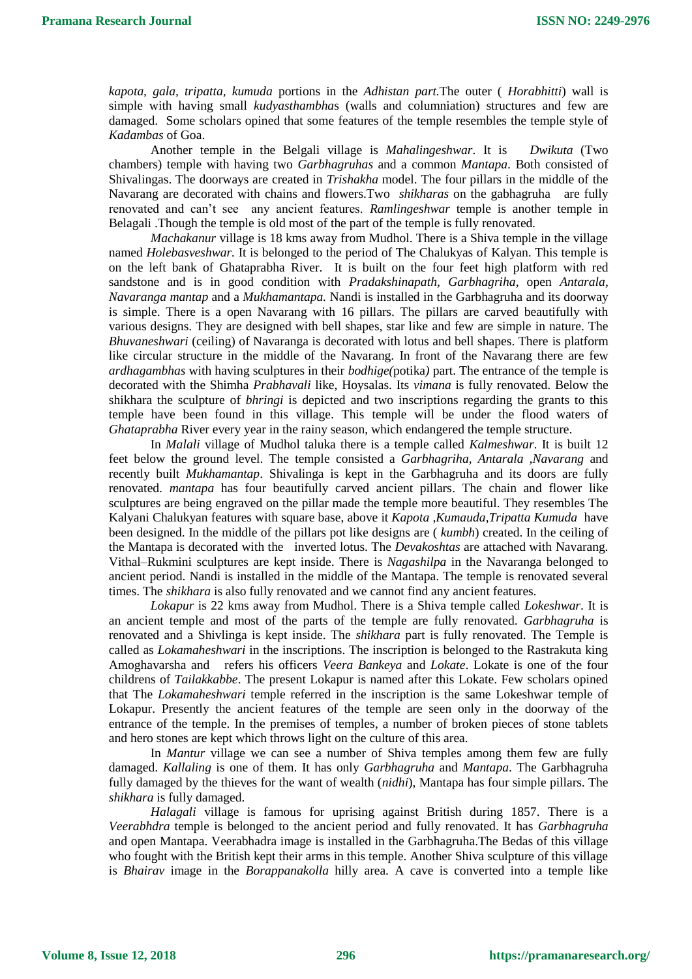*kapota, gala, tripatta, kumuda* portions in the *Adhistan part.*The outer ( *Horabhitti*) wall is simple with having small *kudyasthambha*s (walls and columniation) structures and few are damaged. Some scholars opined that some features of the temple resembles the temple style of *Kadambas* of Goa.

Another temple in the Belgali village is *Mahalingeshwar*. It is *Dwikuta* (Two chambers) temple with having two *Garbhagruhas* and a common *Mantapa*. Both consisted of Shivalingas. The doorways are created in *Trishakha* model. The four pillars in the middle of the Navarang are decorated with chains and flowers.Two *shikharas* on the gabhagruha are fully renovated and can't see any ancient features. *Ramlingeshwar* temple is another temple in Belagali .Though the temple is old most of the part of the temple is fully renovated.

*Machakanur* village is 18 kms away from Mudhol. There is a Shiva temple in the village named *Holebasveshwar.* It is belonged to the period of The Chalukyas of Kalyan. This temple is on the left bank of Ghataprabha River. It is built on the four feet high platform with red sandstone and is in good condition with *Pradakshinapath, Garbhagriha*, open *Antarala*, *Navaranga mantap* and a *Mukhamantapa.* Nandi is installed in the Garbhagruha and its doorway is simple. There is a open Navarang with 16 pillars. The pillars are carved beautifully with various designs. They are designed with bell shapes, star like and few are simple in nature. The *Bhuvaneshwari* (ceiling) of Navaranga is decorated with lotus and bell shapes. There is platform like circular structure in the middle of the Navarang. In front of the Navarang there are few *ardhagambhas* with having sculptures in their *bodhige(*potika*)* part. The entrance of the temple is decorated with the Shimha *Prabhavali* like, Hoysalas. Its *vimana* is fully renovated. Below the shikhara the sculpture of *bhringi* is depicted and two inscriptions regarding the grants to this temple have been found in this village. This temple will be under the flood waters of *Ghataprabha* River every year in the rainy season, which endangered the temple structure.

In *Malali* village of Mudhol taluka there is a temple called *Kalmeshwar*. It is built 12 feet below the ground level. The temple consisted a *Garbhagriha, Antarala ,Navarang* and recently built *Mukhamantap*. Shivalinga is kept in the Garbhagruha and its doors are fully renovated. *mantapa* has four beautifully carved ancient pillars. The chain and flower like sculptures are being engraved on the pillar made the temple more beautiful. They resembles The Kalyani Chalukyan features with square base, above it *Kapota ,Kumauda,Tripatta Kumuda* have been designed. In the middle of the pillars pot like designs are ( *kumbh*) created. In the ceiling of the Mantapa is decorated with the inverted lotus. The *Devakoshtas* are attached with Navarang. Vithal–Rukmini sculptures are kept inside. There is *Nagashilpa* in the Navaranga belonged to ancient period. Nandi is installed in the middle of the Mantapa. The temple is renovated several times. The *shikhara* is also fully renovated and we cannot find any ancient features.

*Lokapur* is 22 kms away from Mudhol. There is a Shiva temple called *Lokeshwar*. It is an ancient temple and most of the parts of the temple are fully renovated. *Garbhagruha* is renovated and a Shivlinga is kept inside. The *shikhara* part is fully renovated. The Temple is called as *Lokamaheshwari* in the inscriptions. The inscription is belonged to the Rastrakuta king Amoghavarsha and refers his officers *Veera Bankeya* and *Lokate*. Lokate is one of the four childrens of *Tailakkabbe*. The present Lokapur is named after this Lokate. Few scholars opined that The *Lokamaheshwari* temple referred in the inscription is the same Lokeshwar temple of Lokapur. Presently the ancient features of the temple are seen only in the doorway of the entrance of the temple. In the premises of temples, a number of broken pieces of stone tablets and hero stones are kept which throws light on the culture of this area.

In *Mantur* village we can see a number of Shiva temples among them few are fully damaged. *Kallaling* is one of them. It has only *Garbhagruha* and *Mantapa*. The Garbhagruha fully damaged by the thieves for the want of wealth (*nidhi*), Mantapa has four simple pillars. The *shikhara* is fully damaged.

*Halagali* village is famous for uprising against British during 1857. There is a *Veerabhdra* temple is belonged to the ancient period and fully renovated. It has *Garbhagruha*  and open Mantapa. Veerabhadra image is installed in the Garbhagruha.The Bedas of this village who fought with the British kept their arms in this temple. Another Shiva sculpture of this village is *Bhairav* image in the *Borappanakolla* hilly area. A cave is converted into a temple like